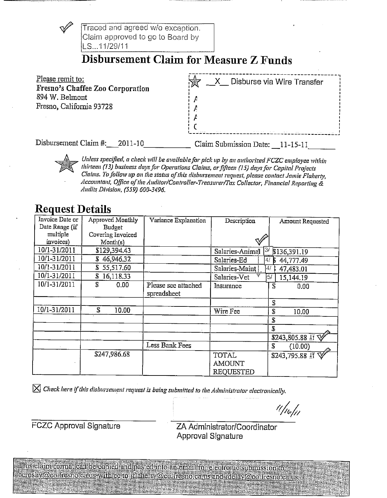

Unless specified, a check will be available for pick up by an authorized FCZC employee within thirteen (13) business days for Operations Claims, or fifteen (15) days for Capital Projects Claims. To follow up on the status of this disbursement request, please contact Jamie Flaherty, Accountant, Office of the Auditor/Controller-Treasurer/Tax Collector, Financial Reporting & Audits Division, (559) 600-3496.

# **Request Details**

| Invoice Date or | Approved Monthly  | Variance Explanation | Description                     | Amount Requested                |
|-----------------|-------------------|----------------------|---------------------------------|---------------------------------|
| Date Range (if  | <b>Budget</b>     |                      |                                 |                                 |
| multiple        | Covering Invoiced |                      |                                 |                                 |
| invoices)       | Month(s)          |                      |                                 |                                 |
| 10/1-31/2011    | \$129,394.43      |                      | 3/<br>Salaries-Animal           | \$136,391.19                    |
| 10/1-31/2011    | \$46,946.32       |                      | Salaries-Ed<br>47               | 44,777.49                       |
| 10/1-31/2011    | \$55,517.60       |                      | $\frac{1}{2}$<br>Salaries-Maint | 47,483.01                       |
| 10/1-31/2011    | 16,118.33<br>S    |                      | Salaries-Vet                    | 5/<br>15,144.19                 |
| 10/1-31/2011    | £<br>0.00         | Please see attached  | Insurance                       | $\overline{\mathbf{s}}$<br>0.00 |
|                 |                   | spreadsheet          |                                 |                                 |
|                 |                   |                      |                                 | S                               |
| 10/1-31/2011    | S.<br>10.00       |                      | Wire Fee                        | £<br>10.00                      |
|                 |                   |                      |                                 | S                               |
|                 |                   |                      |                                 | £                               |
|                 |                   |                      |                                 | $$243,805.88$ If $\sqrt[4]{}$   |
|                 |                   | Less Bank Fees       |                                 | Ĵ.<br>(10.00)                   |
|                 | \$247,986.68      |                      | <b>TOTAL</b>                    | \$243,795.88 互叉                 |
|                 |                   |                      | <b>AMOUNT</b>                   |                                 |
|                 |                   |                      | <b>REQUESTED</b>                |                                 |

 $\boxtimes$  Check here if this disbursement request is being submitted to the Administrator electronically.

<sup>t (f</sup>leli)

**FCZC Approval Signature** 

ZA Administrator/Coordinator **Approval Signature** 

This claim formatican be copied and pasted into an email for electronic submission to cerosby@co.fresno:ca.us-with certo.jflaherty@co.fresno.ca.us and rdelay@co.fresno.ca.us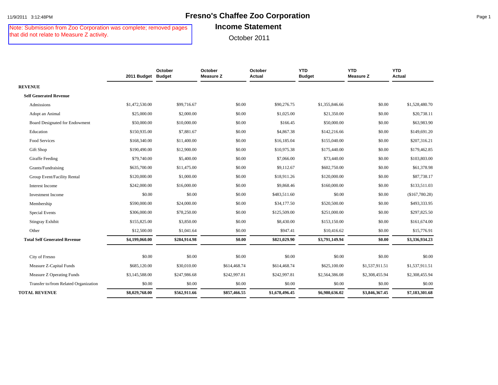# 11/9/2011 3:12:48PM **Fresno's Chaffee Zoo Corporation** Page 1

Note: Submission from Zoo Corporation was complete; removed pages that did not relate to Measure Z activity.

#### **Income Statement**

|                                       | 2011 Budget Budget | October      | October<br><b>Measure Z</b> | October<br>Actual | <b>YTD</b><br><b>Budget</b> | <b>YTD</b><br><b>Measure Z</b> | <b>YTD</b><br>Actual |
|---------------------------------------|--------------------|--------------|-----------------------------|-------------------|-----------------------------|--------------------------------|----------------------|
| <b>REVENUE</b>                        |                    |              |                             |                   |                             |                                |                      |
| <b>Self Generated Revenue</b>         |                    |              |                             |                   |                             |                                |                      |
| Admissions                            | \$1,472,530.00     | \$99,716.67  | \$0.00                      | \$90,276.75       | \$1,355,846.66              | \$0.00                         | \$1,528,480.70       |
| Adopt an Animal                       | \$25,000.00        | \$2,000.00   | \$0.00                      | \$1,025.00        | \$21,350.00                 | \$0.00                         | \$20,738.11          |
| <b>Board Designated for Endowment</b> | \$50,000.00        | \$10,000.00  | \$0.00                      | \$166.45          | \$50,000.00                 | \$0.00                         | \$63,983.90          |
| Education                             | \$150,935.00       | \$7,881.67   | \$0.00                      | \$4,867.38        | \$142,216.66                | \$0.00                         | \$149,691.20         |
| Food Services                         | \$168,340.00       | \$11,400.00  | \$0.00                      | \$16,185.04       | \$155,040.00                | \$0.00                         | \$207,316.21         |
| Gift Shop                             | \$190,490.00       | \$12,900.00  | \$0.00                      | \$10,975.38       | \$175,440.00                | \$0.00                         | \$179,462.85         |
| Giraffe Feeding                       | \$79,740.00        | \$5,400.00   | \$0.00                      | \$7,066.00        | \$73,440.00                 | \$0.00                         | \$103,803.00         |
| Grants/Fundraising                    | \$635,700.00       | \$11,475.00  | \$0.00                      | \$9,112.67        | \$602,750.00                | \$0.00                         | \$61,378.98          |
| Group Event/Facility Rental           | \$120,000.00       | \$1,000.00   | \$0.00                      | \$18,911.26       | \$120,000.00                | \$0.00                         | \$87,738.17          |
| Interest Income                       | \$242,000.00       | \$16,000.00  | \$0.00                      | \$9,868.46        | \$160,000.00                | \$0.00                         | \$133,511.03         |
| <b>Investment Income</b>              | \$0.00             | \$0.00       | \$0.00                      | \$483,511.60      | \$0.00                      | \$0.00                         | (\$167,780.28)       |
| Membership                            | \$590,000.00       | \$24,000.00  | \$0.00                      | \$34,177.50       | \$520,500.00                | \$0.00                         | \$493,333.95         |
| <b>Special Events</b>                 | \$306,000.00       | \$78,250.00  | \$0.00                      | \$125,509.00      | \$251,000.00                | \$0.00                         | \$297,825.50         |
| <b>Stingray Exhibit</b>               | \$155,825.00       | \$3,850.00   | \$0.00                      | \$8,430.00        | \$153,150.00                | \$0.00                         | \$161,674.00         |
| Other                                 | \$12,500.00        | \$1,041.64   | \$0.00                      | \$947.41          | \$10,416.62                 | \$0.00                         | \$15,776.91          |
| <b>Total Self Generated Revenue</b>   | \$4,199,060.00     | \$284,914.98 | \$0.00                      | \$821,029.90      | \$3,791,149.94              | \$0.00                         | \$3,336,934.23       |
|                                       |                    |              |                             |                   |                             |                                |                      |
| City of Fresno                        | \$0.00             | \$0.00       | \$0.00                      | \$0.00            | \$0.00                      | \$0.00                         | \$0.00               |
| Measure Z-Capital Funds               | \$685,120.00       | \$30,010.00  | \$614,468.74                | \$614,468.74      | \$625,100.00                | \$1,537,911.51                 | \$1,537,911.51       |
| Measure Z Operating Funds             | \$3,145,588.00     | \$247,986.68 | \$242,997.81                | \$242,997.81      | \$2,564,386.08              | \$2,308,455.94                 | \$2,308,455.94       |
| Transfer to/from Related Organization | \$0.00             | \$0.00       | \$0.00                      | \$0.00            | \$0.00                      | \$0.00                         | \$0.00               |
| <b>TOTAL REVENUE</b>                  | \$8,029,768.00     | \$562,911.66 | \$857,466.55                | \$1,678,496.45    | \$6,980,636.02              | \$3,846,367.45                 | \$7,183,301.68       |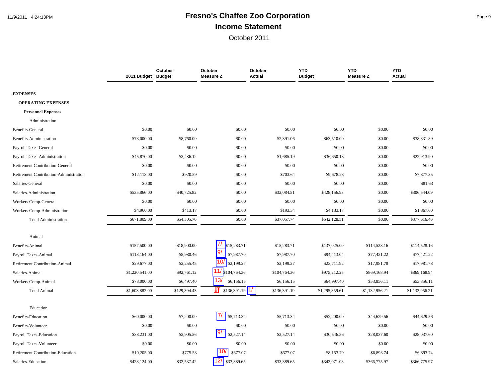# 11/9/2011 4:24:13PM **Fresno's Chaffee Zoo Corporation** Page 9 **Income Statement**

|                                        | 2011 Budget Budget | October      | October<br><b>Measure Z</b>   | October<br><b>Actual</b> | <b>YTD</b><br><b>Budget</b> | <b>YTD</b><br><b>Measure Z</b> | <b>YTD</b><br>Actual |
|----------------------------------------|--------------------|--------------|-------------------------------|--------------------------|-----------------------------|--------------------------------|----------------------|
|                                        |                    |              |                               |                          |                             |                                |                      |
| <b>EXPENSES</b>                        |                    |              |                               |                          |                             |                                |                      |
| <b>OPERATING EXPENSES</b>              |                    |              |                               |                          |                             |                                |                      |
| <b>Personnel Expenses</b>              |                    |              |                               |                          |                             |                                |                      |
| Administration                         |                    |              |                               |                          |                             |                                |                      |
| <b>Benefits-General</b>                | \$0.00             | \$0.00       | \$0.00                        | \$0.00                   | \$0.00                      | \$0.00                         | \$0.00               |
| Benefits-Administration                | \$73,000.00        | \$8,760.00   | \$0.00                        | \$2,391.06               | \$63,510.00                 | \$0.00                         | \$38,831.89          |
| Payroll Taxes-General                  | \$0.00             | \$0.00       | \$0.00                        | \$0.00                   | \$0.00                      | \$0.00                         | \$0.00               |
| Payroll Taxes-Administration           | \$45,870.00        | \$3,486.12   | \$0.00                        | \$1,685.19               | \$36,650.13                 | \$0.00                         | \$22,913.90          |
| <b>Retirement Contribution-General</b> | \$0.00             | \$0.00       | \$0.00                        | \$0.00                   | \$0.00                      | \$0.00                         | \$0.00               |
| Retirement Contribution-Administration | \$12,113.00        | \$920.59     | \$0.00                        | \$703.64                 | \$9,678.28                  | \$0.00                         | \$7,377.35           |
| Salaries-General                       | \$0.00             | \$0.00       | \$0.00                        | \$0.00                   | \$0.00                      | \$0.00                         | \$81.63              |
| Salaries-Administration                | \$535,866.00       | \$40,725.82  | \$0.00                        | \$32,084.51              | \$428,156.93                | \$0.00                         | \$306,544.09         |
| Workers Comp-General                   | \$0.00             | \$0.00       | \$0.00                        | \$0.00                   | \$0.00                      | \$0.00                         | \$0.00               |
| Workers Comp-Administration            | \$4,960.00         | \$413.17     | \$0.00                        | \$193.34                 | \$4,133.17                  | \$0.00                         | \$1,867.60           |
| <b>Total Administration</b>            | \$671,809.00       | \$54,305.70  | \$0.00                        | \$37,057.74              | \$542,128.51                | \$0.00                         | \$377,616.46         |
| Animal                                 |                    |              |                               |                          |                             |                                |                      |
| Benefits-Animal                        | \$157,500.00       | \$18,900.00  | $\prime\prime$<br>\$15,283.71 | \$15,283.71              | \$137,025.00                | \$114,528.16                   | \$114,528.16         |
| Payroll Taxes-Animal                   | \$118,164.00       | \$8,980.46   | \$7,987.70                    | \$7,987.70               | \$94,413.04                 | \$77,421.22                    | \$77,421.22          |
| <b>Retirement Contribution-Animal</b>  | \$29,677.00        | \$2,255.45   | \$2,199.27                    | \$2,199.27               | \$23,711.92                 | \$17,981.78                    | \$17,981.78          |
| Salaries-Animal                        | \$1,220,541.00     | \$92,761.12  | \$104,764.36                  | \$104,764.36             | \$975,212.25                | \$869,168.94                   | \$869,168.94         |
| Workers Comp-Animal                    | \$78,000.00        | \$6,497.40   | 13/<br>\$6,156.15             | \$6,156.15               | \$64,997.40                 | \$53,856.11                    | \$53,856.11          |
| <b>Total Animal</b>                    | \$1,603,882.00     | \$129,394.43 | $\frac{1}{2}$ \$136,391.19    | 1/<br>\$136,391.19       | \$1,295,359.61              | \$1,132,956.21                 | \$1,132,956.21       |
| Education                              |                    |              |                               |                          |                             |                                |                      |
| Benefits-Education                     | \$60,000.00        | \$7,200.00   | 71<br>\$5,713.34              | \$5,713.34               | \$52,200.00                 | \$44,629.56                    | \$44,629.56          |
| Benefits-Volunteer                     | \$0.00             | \$0.00       | \$0.00                        | \$0.00                   | \$0.00                      | \$0.00                         | \$0.00               |
| Payroll Taxes-Education                | \$38,231.00        | \$2,905.56   | 9/<br>\$2,527.14              | \$2,527.14               | \$30,546.56                 | \$28,037.60                    | \$28,037.60          |
| Payroll Taxes-Volunteer                | \$0.00             | \$0.00       | \$0.00                        | \$0.00                   | \$0.00                      | \$0.00                         | \$0.00               |
| Retirement Contribution-Education      | \$10,205.00        | \$775.58     | 10,<br>\$677.07               | \$677.07                 | \$8,153.79                  | \$6,893.74                     | \$6,893.74           |
| Salaries-Education                     | \$428,124.00       | \$32,537.42  | 12/<br>\$33,389.65            | \$33,389.65              | \$342,071.08                | \$366,775.97                   | \$366,775.97         |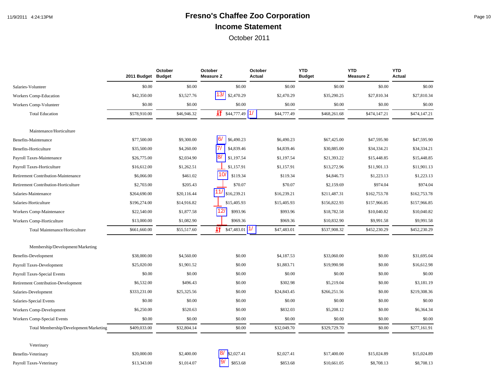# 11/9/2011 4:24:13PM **Fresno's Chaffee Zoo Corporation** Page 10 **Income Statement**

|                                            | 2011 Budget Budget | October     | October<br><b>Measure Z</b>  | October<br>Actual | <b>YTD</b><br><b>Budget</b> | <b>YTD</b><br>Measure Z | <b>YTD</b><br><b>Actual</b> |
|--------------------------------------------|--------------------|-------------|------------------------------|-------------------|-----------------------------|-------------------------|-----------------------------|
| Salaries-Volunteer                         | \$0.00             | \$0.00      | \$0.00                       | \$0.00            | \$0.00                      | \$0.00                  | \$0.00                      |
| Workers Comp-Education                     | \$42,350.00        | \$3,527.76  | 13/<br>\$2,470.29            | \$2,470.29        | \$35,290.25                 | \$27,810.34             | \$27,810.34                 |
| Workers Comp-Volunteer                     | \$0.00             | \$0.00      | \$0.00                       | \$0.00            | \$0.00                      | \$0.00                  | \$0.00                      |
| <b>Total Education</b>                     | \$578,910.00       | \$46,946.32 | $\frac{1}{2}$ \$44,777.49 1/ | \$44,777.49       | \$468,261.68                | \$474,147.21            | \$474,147.21                |
| Maintenance/Horticulture                   |                    |             |                              |                   |                             |                         |                             |
| Benefits-Maintenance                       | \$77,500.00        | \$9,300.00  | 6/<br>\$6,490.23             | \$6,490.23        | \$67,425.00                 | \$47,595.90             | \$47,595.90                 |
| Benefits-Horticulture                      | \$35,500.00        | \$4,260.00  | 7/<br>\$4,839.46             | \$4,839.46        | \$30,885.00                 | \$34,334.21             | \$34,334.21                 |
| Payroll Taxes-Maintenance                  | \$26,775.00        | \$2,034.90  | <b>8/</b><br>\$1,197.54      | \$1,197.54        | \$21,393.22                 | \$15,448.85             | \$15,448.85                 |
| Payroll Taxes-Horticulture                 | \$16,612.00        | \$1,262.51  | \$1,157.91                   | \$1,157.91        | \$13,272.96                 | \$11,901.13             | \$11,901.13                 |
| Retirement Contribution-Maintenance        | \$6,066.00         | \$461.02    | 10 <sub>l</sub><br>\$119.34  | \$119.34          | \$4,846.73                  | \$1,223.13              | \$1,223.13                  |
| Retirement Contribution-Horticulture       | \$2,703.00         | \$205.43    | \$70.07                      | \$70.07           | \$2,159.69                  | \$974.04                | \$974.04                    |
| Salaries-Maintenance                       | \$264,690.00       | \$20,116.44 | \$16,239.21                  | \$16,239.21       | \$211,487.31                | \$162,753.78            | \$162,753.78                |
| Salaries-Horticulture                      | \$196,274.00       | \$14,916.82 | \$15,405.93                  | \$15,405.93       | \$156,822.93                | \$157,966.85            | \$157,966.85                |
| Workers Comp-Maintenance                   | \$22,540.00        | \$1,877.58  | 12/<br>\$993.96              | \$993.96          | \$18,782.58                 | \$10,040.82             | \$10,040.82                 |
| Workers Comp-Horticulture                  | \$13,000.00        | \$1,082.90  | \$969.36                     | \$969.36          | \$10,832.90                 | \$9,991.58              | \$9,991.58                  |
| Total Maintenance/Horticulture             | \$661,660.00       | \$55,517.60 | IJŦ<br>\$47,483.01           | \$47,483.01       | \$537,908.32                | \$452,230.29            | \$452,230.29                |
| Membership/Development/Marketing           |                    |             |                              |                   |                             |                         |                             |
| <b>Benefits-Development</b>                | \$38,000.00        | \$4,560.00  | \$0.00                       | \$4,187.53        | \$33,060.00                 | \$0.00                  | \$31,695.04                 |
| Payroll Taxes-Development                  | \$25,020.00        | \$1,901.52  | \$0.00                       | \$1,883.71        | \$19,990.98                 | \$0.00                  | \$16,612.98                 |
| Payroll Taxes-Special Events               | \$0.00             | \$0.00      | \$0.00                       | \$0.00            | \$0.00                      | \$0.00                  | \$0.00                      |
| <b>Retirement Contribution-Development</b> | \$6,532.00         | \$496.43    | \$0.00                       | \$302.98          | \$5,219.04                  | \$0.00                  | \$3,181.19                  |
| Salaries-Development                       | \$333,231.00       | \$25,325.56 | \$0.00                       | \$24,843.45       | \$266,251.56                | \$0.00                  | \$219,308.36                |
| Salaries-Special Events                    | \$0.00             | \$0.00      | \$0.00                       | \$0.00            | \$0.00                      | \$0.00                  | \$0.00                      |
| Workers Comp-Development                   | \$6,250.00         | \$520.63    | \$0.00                       | \$832.03          | \$5,208.12                  | \$0.00                  | \$6,364.34                  |
| Workers Comp-Special Events                | \$0.00             | \$0.00      | \$0.00                       | \$0.00            | \$0.00                      | \$0.00                  | \$0.00                      |
| Total Membership/Development/Marketing     | \$409,033.00       | \$32,804.14 | \$0.00                       | \$32,049.70       | \$329,729.70                | \$0.00                  | \$277,161.91                |
| Veterinary                                 |                    |             |                              |                   |                             |                         |                             |
| Benefits-Veterinary                        | \$20,000.00        | \$2,400.00  | 8/<br>\$2,027.41             | \$2,027.41        | \$17,400.00                 | \$15,024.89             | \$15,024.89                 |
| Payroll Taxes-Veterinary                   | \$13,343.00        | \$1,014.07  | 9/<br>\$853.68               | \$853.68          | \$10,661.05                 | \$8,708.13              | \$8,708.13                  |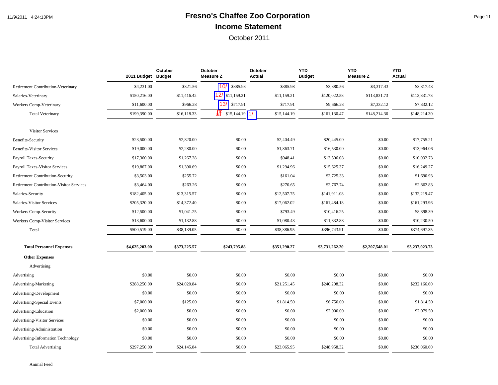## 11/9/2011 4:24:13PM **Fresno's Chaffee Zoo Corporation** Page 11 **Income Statement**

|                                                 | 2011 Budget Budget | October      | October<br><b>Measure Z</b> | October<br>Actual | <b>YTD</b><br><b>Budget</b> | <b>YTD</b><br><b>Measure Z</b> | <b>YTD</b><br>Actual |
|-------------------------------------------------|--------------------|--------------|-----------------------------|-------------------|-----------------------------|--------------------------------|----------------------|
| Retirement Contribution-Veterinary              | \$4,231.00         | \$321.56     | 10/<br>\$385.98             | \$385.98          | \$3,380.56                  | \$3,317.43                     | \$3,317.43           |
| Salaries-Veterinary                             | \$150,216.00       | \$11,416.42  | $12/$ \$11,159.21           | \$11,159.21       | \$120,022.58                | \$113,831.73                   | \$113,831.73         |
| <b>Workers Comp-Veterinary</b>                  | \$11,600.00        | \$966.28     | 13/<br>\$717.91             | \$717.91          | \$9,666.28                  | \$7,332.12                     | \$7,332.12           |
| <b>Total Veterinary</b>                         | \$199,390.00       | \$16,118.33  | $\sqrt{11}$ \$15,144.19 1/  | \$15,144.19       | \$161,130.47                | \$148,214.30                   | \$148,214.30         |
| <b>Visitor Services</b>                         |                    |              |                             |                   |                             |                                |                      |
| Benefits-Security                               | \$23,500.00        | \$2,820.00   | \$0.00                      | \$2,404.49        | \$20,445.00                 | \$0.00                         | \$17,755.21          |
| <b>Benefits-Visitor Services</b>                | \$19,000.00        | \$2,280.00   | \$0.00                      | \$1,863.71        | \$16,530.00                 | \$0.00                         | \$13,964.06          |
| Payroll Taxes-Security                          | \$17,360.00        | \$1,267.28   | \$0.00                      | \$948.41          | \$13,506.08                 | \$0.00                         | \$10,032.73          |
| Payroll Taxes-Visitor Services                  | \$19,867.00        | \$1,390.69   | \$0.00                      | \$1,294.96        | \$15,625.37                 | \$0.00                         | \$16,249.27          |
| <b>Retirement Contribution-Security</b>         | \$3,503.00         | \$255.72     | \$0.00                      | \$161.04          | \$2,725.33                  | \$0.00                         | \$1,690.93           |
| <b>Retirement Contribution-Visitor Services</b> | \$3,464.00         | \$263.26     | \$0.00                      | \$270.65          | \$2,767.74                  | \$0.00                         | \$2,862.83           |
| Salaries-Security                               | \$182,405.00       | \$13,315.57  | \$0.00                      | \$12,507.75       | \$141,911.08                | \$0.00                         | \$132,219.47         |
| Salaries-Visitor Services                       | \$205,320.00       | \$14,372.40  | \$0.00                      | \$17,062.02       | \$161,484.18                | \$0.00                         | \$161,293.96         |
| <b>Workers Comp-Security</b>                    | \$12,500.00        | \$1,041.25   | \$0.00                      | \$793.49          | \$10,416.25                 | \$0.00                         | \$8,398.39           |
| <b>Workers Comp-Visitor Services</b>            | \$13,600.00        | \$1,132.88   | \$0.00                      | \$1,080.43        | \$11,332.88                 | \$0.00                         | \$10,230.50          |
| Total                                           | \$500,519.00       | \$38,139.05  | \$0.00                      | \$38,386.95       | \$396,743.91                | \$0.00                         | \$374,697.35         |
| <b>Total Personnel Expenses</b>                 | \$4,625,203.00     | \$373,225.57 | \$243,795.88                | \$351,290.27      | \$3,731,262.20              | \$2,207,548.01                 | \$3,237,023.73       |
| <b>Other Expenses</b>                           |                    |              |                             |                   |                             |                                |                      |
| Advertising                                     |                    |              |                             |                   |                             |                                |                      |
| Advertising                                     | \$0.00             | \$0.00       | \$0.00                      | \$0.00            | \$0.00                      | \$0.00                         | \$0.00               |
| Advertising-Marketing                           | \$288,250.00       | \$24,020.84  | \$0.00                      | \$21,251.45       | \$240,208.32                | \$0.00                         | \$232,166.60         |
| Advertising-Development                         | \$0.00             | \$0.00       | \$0.00                      | \$0.00            | \$0.00                      | \$0.00                         | \$0.00               |
| <b>Advertising-Special Events</b>               | \$7,000.00         | \$125.00     | \$0.00                      | \$1,814.50        | \$6,750.00                  | \$0.00                         | \$1,814.50           |
| Advertising-Education                           | \$2,000.00         | \$0.00       | \$0.00                      | \$0.00            | \$2,000.00                  | \$0.00                         | \$2,079.50           |
| <b>Advertising-Visitor Services</b>             | \$0.00             | \$0.00       | \$0.00                      | \$0.00            | \$0.00                      | \$0.00                         | \$0.00               |
| Advertising-Administration                      | \$0.00             | \$0.00       | \$0.00                      | \$0.00            | \$0.00                      | \$0.00                         | \$0.00               |
| Advertising-Information Technology              | \$0.00             | \$0.00       | \$0.00                      | \$0.00            | \$0.00                      | \$0.00                         | \$0.00               |
| <b>Total Advertising</b>                        | \$297,250.00       | \$24,145.84  | \$0.00                      | \$23,065.95       | \$248,958.32                | \$0.00                         | \$236,060.60         |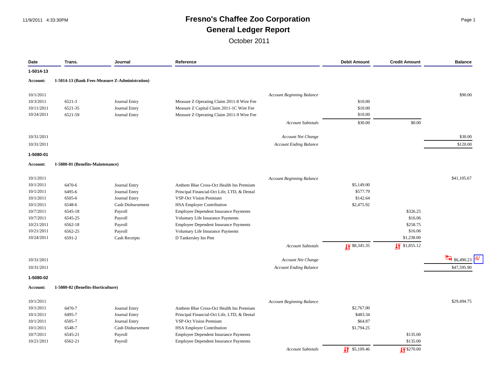## 11/9/2011 4:33:30PM **Fresno's Chaffee Zoo Corporation** Page 1 **General Ledger Report**

| Date            | Trans.                            | Journal                                        | Reference                                    |                                  | <b>Debit Amount</b>      | <b>Credit Amount</b>  | <b>Balance</b>           |
|-----------------|-----------------------------------|------------------------------------------------|----------------------------------------------|----------------------------------|--------------------------|-----------------------|--------------------------|
| 1-5014-13       |                                   |                                                |                                              |                                  |                          |                       |                          |
| <b>Account:</b> |                                   | 1-5014-13 (Bank Fees-Measure Z-Administration) |                                              |                                  |                          |                       |                          |
| 10/1/2011       |                                   |                                                |                                              | Account Beginning Balance        |                          |                       | \$90.00                  |
| 10/3/2011       | 6521-3                            | Journal Entry                                  | Measure Z Operating Claim 2011-8 Wire Fee    |                                  | \$10.00                  |                       |                          |
| 10/11/2011      | 6521-35                           | Journal Entry                                  | Measure Z Capital Claim 2011-1C Wire Fee     |                                  | \$10.00                  |                       |                          |
| 10/24/2011      | 6521-59                           | Journal Entry                                  | Measure Z Operating Claim 2011-9 Wire Fee    |                                  | \$10.00                  |                       |                          |
|                 |                                   |                                                |                                              | <b>Account Subtotals</b>         | \$30.00                  | \$0.00                |                          |
| 10/31/2011      |                                   |                                                |                                              | Account Net Change               |                          |                       | \$30.00                  |
| 10/31/2011      |                                   |                                                |                                              | <b>Account Ending Balance</b>    |                          |                       | \$120.00                 |
| 1-5080-01       |                                   |                                                |                                              |                                  |                          |                       |                          |
| <b>Account:</b> | 1-5080-01 (Benefits-Maintenance)  |                                                |                                              |                                  |                          |                       |                          |
| 10/1/2011       |                                   |                                                |                                              | Account Beginning Balance        |                          |                       | \$41,105.67              |
| 10/1/2011       | 6470-6                            | Journal Entry                                  | Anthem Blue Cross-Oct Health Ins Premium     |                                  | \$5,149.00               |                       |                          |
| 10/1/2011       | 6495-6                            | Journal Entry                                  | Principal Financial-Oct Life, LTD, & Dental  |                                  | \$577.79                 |                       |                          |
| 10/1/2011       | 6505-6                            | Journal Entry                                  | <b>VSP-Oct Vision Premium</b>                |                                  | \$142.64                 |                       |                          |
| 10/1/2011       | 6548-6                            | <b>Cash Disbursement</b>                       | <b>HSA Employer Contribution</b>             |                                  | \$2,475.92               |                       |                          |
| 10/7/2011       | 6545-18                           | Payroll                                        | Employee Dependent Insurance Payments        |                                  |                          | \$326.25              |                          |
| 10/7/2011       | 6545-25                           | Payroll                                        | Voluntary Life Insurance Payments            |                                  |                          | \$16.06               |                          |
| 10/21/2011      | 6562-18                           | Payroll                                        | <b>Employee Dependent Insurance Payments</b> |                                  |                          | \$258.75              |                          |
| 10/21/2011      | 6562-25                           | Payroll                                        | Voluntary Life Insurance Payments            |                                  |                          | \$16.06               |                          |
| 10/24/2011      | 6591-2                            | Cash Receipts                                  | D Tankersley Ins Pmt                         |                                  |                          | \$1,238.00            |                          |
|                 |                                   |                                                |                                              | <b>Account Subtotals</b>         | $\sqrt{58,345.35}$       | $\sqrt{1}$ \$1,855.12 |                          |
| 10/31/2011      |                                   |                                                |                                              | <b>Account Net Change</b>        |                          |                       | $\frac{H}{H}$ \$6,490.23 |
| 10/31/2011      |                                   |                                                |                                              | <b>Account Ending Balance</b>    |                          |                       | \$47,595.90              |
| 1-5080-02       |                                   |                                                |                                              |                                  |                          |                       |                          |
| <b>Account:</b> | 1-5080-02 (Benefits-Horticulture) |                                                |                                              |                                  |                          |                       |                          |
| 10/1/2011       |                                   |                                                |                                              | <b>Account Beginning Balance</b> |                          |                       | \$29,494.75              |
| 10/1/2011       | 6470-7                            | Journal Entry                                  | Anthem Blue Cross-Oct Health Ins Premium     |                                  | \$2,767.00               |                       |                          |
| 10/1/2011       | 6495-7                            | Journal Entry                                  | Principal Financial-Oct Life, LTD, & Dental  |                                  | \$483.34                 |                       |                          |
| 10/1/2011       | 6505-7                            | Journal Entry                                  | <b>VSP-Oct Vision Premium</b>                |                                  | \$64.87                  |                       |                          |
| 10/1/2011       | 6548-7                            | Cash Disbursement                              | <b>HSA Employer Contribution</b>             |                                  | \$1,794.25               |                       |                          |
| 10/7/2011       | 6545-21                           | Payroll                                        | Employee Dependent Insurance Payments        |                                  |                          | \$135.00              |                          |
| 10/21/2011      | 6562-21                           | Payroll                                        | <b>Employee Dependent Insurance Payments</b> |                                  |                          | \$135.00              |                          |
|                 |                                   |                                                |                                              | Account Subtotals                | $\frac{1}{2}$ \$5,109.46 | $\sqrt{17}$ \$270.00  |                          |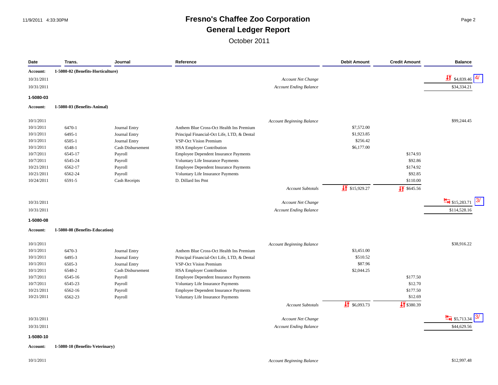#### 11/9/2011 4:33:30PM **Fresno's Chaffee Zoo Corporation** Page 2 **General Ledger Report**

| Date                  | Trans.                            | Journal           | Reference                                    |                                  | <b>Debit Amount</b>       | <b>Credit Amount</b>   | <b>Balance</b>                    |
|-----------------------|-----------------------------------|-------------------|----------------------------------------------|----------------------------------|---------------------------|------------------------|-----------------------------------|
| Account:              | 1-5080-02 (Benefits-Horticulture) |                   |                                              |                                  |                           |                        |                                   |
| 10/31/2011            |                                   |                   |                                              | <b>Account Net Change</b>        |                           |                        | $\frac{1}{2}$ \$4,839.46          |
| 10/31/2011            |                                   |                   |                                              | <b>Account Ending Balance</b>    |                           |                        | \$34,334.21                       |
| 1-5080-03             |                                   |                   |                                              |                                  |                           |                        |                                   |
| Account:              | 1-5080-03 (Benefits-Animal)       |                   |                                              |                                  |                           |                        |                                   |
|                       |                                   |                   |                                              |                                  |                           |                        |                                   |
| 10/1/2011             |                                   |                   |                                              | <b>Account Beginning Balance</b> |                           |                        | \$99,244.45                       |
| 10/1/2011             | 6470-1                            | Journal Entry     | Anthem Blue Cross-Oct Health Ins Premium     |                                  | \$7,572.00                |                        |                                   |
| 10/1/2011             | 6495-1                            | Journal Entry     | Principal Financial-Oct Life, LTD, & Dental  |                                  | \$1,923.85                |                        |                                   |
| 10/1/2011             | 6505-1                            | Journal Entry     | <b>VSP-Oct Vision Premium</b>                |                                  | \$256.42                  |                        |                                   |
| 10/1/2011             | 6548-1                            | Cash Disbursement | <b>HSA Employer Contribution</b>             |                                  | \$6,177.00                |                        |                                   |
| 10/7/2011             | 6545-17                           | Payroll           | <b>Employee Dependent Insurance Payments</b> |                                  |                           | \$174.93               |                                   |
| 10/7/2011             | 6545-24                           | Payroll           | Voluntary Life Insurance Payments            |                                  |                           | \$92.86                |                                   |
| 10/21/2011            | 6562-17                           | Payroll           | Employee Dependent Insurance Payments        |                                  |                           | \$174.92               |                                   |
| 10/21/2011            | 6562-24                           | Payroll           | Voluntary Life Insurance Payments            |                                  |                           | \$92.85                |                                   |
| 10/24/2011            | 6591-5                            | Cash Receipts     | D. Dillard Ins Pmt                           |                                  |                           | \$110.00               |                                   |
|                       |                                   |                   |                                              | <b>Account Subtotals</b>         | $\sqrt{11}$ \$15,929.27   | $\sqrt{11}$ \$645.56   |                                   |
| 10/31/2011            |                                   |                   |                                              | Account Net Change               |                           |                        | $\frac{H}{\sqrt{15}}$ \$15,283.71 |
| 10/31/2011            |                                   |                   |                                              | <b>Account Ending Balance</b>    |                           |                        | \$114,528.16                      |
|                       |                                   |                   |                                              |                                  |                           |                        |                                   |
| 1-5080-08<br>Account: | 1-5080-08 (Benefits-Education)    |                   |                                              |                                  |                           |                        |                                   |
|                       |                                   |                   |                                              |                                  |                           |                        |                                   |
| 10/1/2011             |                                   |                   |                                              | <b>Account Beginning Balance</b> |                           |                        | \$38,916.22                       |
| 10/1/2011             | 6470-3                            | Journal Entry     | Anthem Blue Cross-Oct Health Ins Premium     |                                  | \$3,451.00                |                        |                                   |
| 10/1/2011             | 6495-3                            | Journal Entry     | Principal Financial-Oct Life, LTD, & Dental  |                                  | \$510.52                  |                        |                                   |
| 10/1/2011             | 6505-3                            | Journal Entry     | VSP-Oct Vision Premium                       |                                  | \$87.96                   |                        |                                   |
| 10/1/2011             | 6548-2                            | Cash Disbursement | <b>HSA Employer Contribution</b>             |                                  | \$2,044.25                |                        |                                   |
| 10/7/2011             | 6545-16                           | Payroll           | <b>Employee Dependent Insurance Payments</b> |                                  |                           | \$177.50               |                                   |
| 10/7/2011             | 6545-23                           | Payroll           | Voluntary Life Insurance Payments            |                                  |                           | \$12.70                |                                   |
| 10/21/2011            | 6562-16                           | Payroll           | Employee Dependent Insurance Payments        |                                  |                           | \$177.50               |                                   |
| 10/21/2011            | 6562-23                           | Payroll           | Voluntary Life Insurance Payments            |                                  |                           | \$12.69                |                                   |
|                       |                                   |                   |                                              | <b>Account Subtotals</b>         | $\frac{1}{21}$ \$6,093.73 | $\frac{1}{2}$ \$380.39 |                                   |
| 10/31/2011            |                                   |                   |                                              | Account Net Change               |                           |                        | $\frac{14}{11}$ \$5,713.34        |
| 10/31/2011            |                                   |                   |                                              |                                  |                           |                        | \$44,629.56                       |
|                       |                                   |                   |                                              | <b>Account Ending Balance</b>    |                           |                        |                                   |
| 1-5080-10             |                                   |                   |                                              |                                  |                           |                        |                                   |
| Account:              | 1-5080-10 (Benefits-Veterinary)   |                   |                                              |                                  |                           |                        |                                   |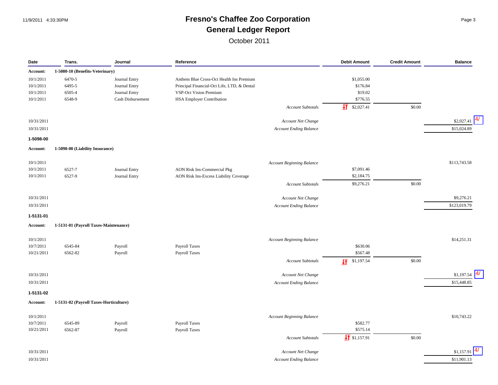#### 11/9/2011 4:33:30PM **Fresno's Chaffee Zoo Corporation** Page 3 **General Ledger Report**

| Date       | Trans.                                 | Journal           | Reference                                   | <b>Debit Amount</b>      | <b>Credit Amount</b> | <b>Balance</b>    |
|------------|----------------------------------------|-------------------|---------------------------------------------|--------------------------|----------------------|-------------------|
| Account:   | 1-5080-10 (Benefits-Veterinary)        |                   |                                             |                          |                      |                   |
| 10/1/2011  | 6470-5                                 | Journal Entry     | Anthem Blue Cross-Oct Health Ins Premium    | \$1,055.00               |                      |                   |
| 10/1/2011  | 6495-5                                 | Journal Entry     | Principal Financial-Oct Life, LTD, & Dental | \$176.84                 |                      |                   |
| 10/1/2011  | 6505-4                                 | Journal Entry     | VSP-Oct Vision Premium                      | \$19.02                  |                      |                   |
| 10/1/2011  | 6548-9                                 | Cash Disbursement | HSA Employer Contribution                   | \$776.55                 |                      |                   |
|            |                                        |                   | <b>Account Subtotals</b>                    | 坘<br>\$2,027.41          | \$0.00               |                   |
| 10/31/2011 |                                        |                   |                                             |                          |                      | \$2,027.41        |
|            |                                        |                   | Account Net Change                          |                          |                      |                   |
| 10/31/2011 |                                        |                   | <b>Account Ending Balance</b>               |                          |                      | \$15,024.89       |
| 1-5098-00  |                                        |                   |                                             |                          |                      |                   |
| Account:   | 1-5098-00 (Liability Insurance)        |                   |                                             |                          |                      |                   |
| 10/1/2011  |                                        |                   | <b>Account Beginning Balance</b>            |                          |                      | \$113,743.58      |
| 10/1/2011  | 6527-7                                 | Journal Entry     | <b>AON Risk Ins-Commercial Pkg</b>          | \$7,091.46               |                      |                   |
| 10/1/2011  | 6527-9                                 | Journal Entry     | AON Risk Ins-Excess Liability Coverage      | \$2,184.75               |                      |                   |
|            |                                        |                   | <b>Account Subtotals</b>                    | \$9,276.21               | \$0.00               |                   |
| 10/31/2011 |                                        |                   | Account Net Change                          |                          |                      | \$9,276.21        |
| 10/31/2011 |                                        |                   | <b>Account Ending Balance</b>               |                          |                      | \$123,019.79      |
| 1-5131-01  |                                        |                   |                                             |                          |                      |                   |
| Account:   | 1-5131-01 (Payroll Taxes-Maintenance)  |                   |                                             |                          |                      |                   |
| 10/1/2011  |                                        |                   | <b>Account Beginning Balance</b>            |                          |                      | \$14,251.31       |
| 10/7/2011  | 6545-84                                | Payroll           | <b>Payroll Taxes</b>                        | \$630.06                 |                      |                   |
| 10/21/2011 | 6562-82                                | Payroll           | Payroll Taxes                               | \$567.48                 |                      |                   |
|            |                                        |                   | <b>Account Subtotals</b>                    | \$1,197.54<br>圷          | \$0.00               |                   |
| 10/31/2011 |                                        |                   | Account Net Change                          |                          |                      | \$1,197.54        |
| 10/31/2011 |                                        |                   | <b>Account Ending Balance</b>               |                          |                      | 4/<br>\$15,448.85 |
|            |                                        |                   |                                             |                          |                      |                   |
| 1-5131-02  | 1-5131-02 (Payroll Taxes-Horticulture) |                   |                                             |                          |                      |                   |
| Account:   |                                        |                   |                                             |                          |                      |                   |
| 10/1/2011  |                                        |                   | <b>Account Beginning Balance</b>            |                          |                      | \$10,743.22       |
| 10/7/2011  | 6545-89                                | Payroll           | Payroll Taxes                               | \$582.77                 |                      |                   |
| 10/21/2011 | 6562-87                                | Payroll           | <b>Payroll Taxes</b>                        | \$575.14                 |                      |                   |
|            |                                        |                   | <b>Account Subtotals</b>                    | $\frac{1}{2}$ \$1,157.91 | \$0.00               |                   |
| 10/31/2011 |                                        |                   | <b>Account Net Change</b>                   |                          |                      | \$1,157.91        |
| 10/31/2011 |                                        |                   | <b>Account Ending Balance</b>               |                          |                      | \$11,901.13       |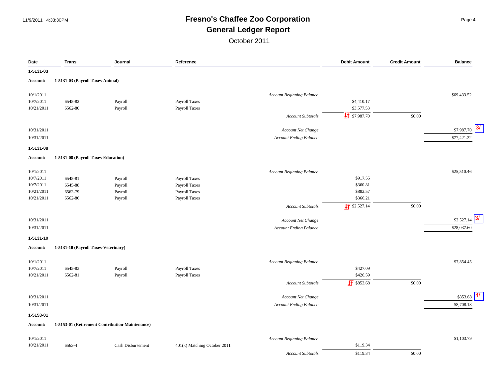#### 11/9/2011 4:33:30PM **Fresno's Chaffee Zoo Corporation** Page 4 **General Ledger Report**

| Date                    | Trans.                               | Journal                                         | Reference                    |                                  | <b>Debit Amount</b>      | <b>Credit Amount</b> | <b>Balance</b>   |
|-------------------------|--------------------------------------|-------------------------------------------------|------------------------------|----------------------------------|--------------------------|----------------------|------------------|
| 1-5131-03               |                                      |                                                 |                              |                                  |                          |                      |                  |
| <b>Account:</b>         | 1-5131-03 (Payroll Taxes-Animal)     |                                                 |                              |                                  |                          |                      |                  |
| 10/1/2011               |                                      |                                                 |                              | <b>Account Beginning Balance</b> |                          |                      | \$69,433.52      |
| 10/7/2011               | 6545-82                              | Payroll                                         | Payroll Taxes                |                                  | \$4,410.17               |                      |                  |
| 10/21/2011              | 6562-80                              | Payroll                                         | Payroll Taxes                |                                  | \$3,577.53               |                      |                  |
|                         |                                      |                                                 |                              | <b>Account Subtotals</b>         | $\frac{1}{2}$ \$7,987.70 | \$0.00               |                  |
|                         |                                      |                                                 |                              |                                  |                          |                      |                  |
| 10/31/2011              |                                      |                                                 |                              | Account Net Change               |                          |                      | 3/<br>\$7,987.70 |
| 10/31/2011              |                                      |                                                 |                              | <b>Account Ending Balance</b>    |                          |                      | \$77,421.22      |
| 1-5131-08               |                                      |                                                 |                              |                                  |                          |                      |                  |
| Account:                | 1-5131-08 (Payroll Taxes-Education)  |                                                 |                              |                                  |                          |                      |                  |
|                         |                                      |                                                 |                              |                                  |                          |                      |                  |
| 10/1/2011<br>10/7/2011  | 6545-81                              | Payroll                                         | Payroll Taxes                | <b>Account Beginning Balance</b> | \$917.55                 |                      | \$25,510.46      |
| 10/7/2011               | 6545-88                              | Payroll                                         | Payroll Taxes                |                                  | \$360.81                 |                      |                  |
| 10/21/2011              | 6562-79                              | Payroll                                         | Payroll Taxes                |                                  | \$882.57                 |                      |                  |
| 10/21/2011              | 6562-86                              | Payroll                                         | Payroll Taxes                |                                  | \$366.21                 |                      |                  |
|                         |                                      |                                                 |                              | <b>Account Subtotals</b>         | $\frac{1}{2}$ \$2,527.14 | \$0.00               |                  |
| 10/31/2011              |                                      |                                                 |                              | Account Net Change               |                          |                      | 3/<br>\$2,527.14 |
| 10/31/2011              |                                      |                                                 |                              | <b>Account Ending Balance</b>    |                          |                      | \$28,037.60      |
| 1-5131-10               |                                      |                                                 |                              |                                  |                          |                      |                  |
| Account:                | 1-5131-10 (Payroll Taxes-Veterinary) |                                                 |                              |                                  |                          |                      |                  |
|                         |                                      |                                                 |                              |                                  |                          |                      |                  |
| 10/1/2011               |                                      |                                                 |                              | <b>Account Beginning Balance</b> |                          |                      | \$7,854.45       |
| 10/7/2011               | 6545-83                              | Payroll                                         | Payroll Taxes                |                                  | \$427.09                 |                      |                  |
| 10/21/2011              | 6562-81                              | Payroll                                         | Payroll Taxes                |                                  | \$426.59                 |                      |                  |
|                         |                                      |                                                 |                              | <b>Account Subtotals</b>         | $\frac{1}{2}$ \$853.68   | \$0.00               |                  |
| 10/31/2011              |                                      |                                                 |                              | Account Net Change               |                          |                      | 4/<br>\$853.68   |
| 10/31/2011              |                                      |                                                 |                              | <b>Account Ending Balance</b>    |                          |                      | \$8,708.13       |
| 1-5153-01               |                                      |                                                 |                              |                                  |                          |                      |                  |
| Account:                |                                      | 1-5153-01 (Retirement Contribution-Maintenance) |                              |                                  |                          |                      |                  |
|                         |                                      |                                                 |                              |                                  |                          |                      | \$1,103.79       |
| 10/1/2011<br>10/21/2011 | 6563-4                               | Cash Disbursement                               | 401(k) Matching October 2011 | <b>Account Beginning Balance</b> | \$119.34                 |                      |                  |
|                         |                                      |                                                 |                              |                                  | \$119.34                 | \$0.00               |                  |
|                         |                                      |                                                 |                              | <b>Account Subtotals</b>         |                          |                      |                  |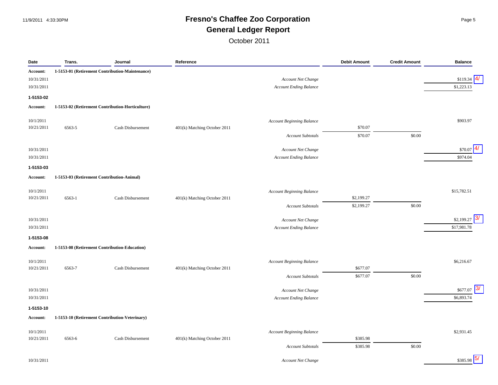#### 11/9/2011 4:33:30PM **Fresno's Chaffee Zoo Corporation** Page 5 **General Ledger Report**

| Date       | Trans. | Journal                                          | Reference                    |                                  | <b>Debit Amount</b> | <b>Credit Amount</b> | <b>Balance</b>         |
|------------|--------|--------------------------------------------------|------------------------------|----------------------------------|---------------------|----------------------|------------------------|
| Account:   |        | 1-5153-01 (Retirement Contribution-Maintenance)  |                              |                                  |                     |                      |                        |
| 10/31/2011 |        |                                                  |                              | Account Net Change               |                     |                      | \$119.34               |
| 10/31/2011 |        |                                                  |                              | <b>Account Ending Balance</b>    |                     |                      | \$1,223.13             |
| 1-5153-02  |        |                                                  |                              |                                  |                     |                      |                        |
| Account:   |        | 1-5153-02 (Retirement Contribution-Horticulture) |                              |                                  |                     |                      |                        |
|            |        |                                                  |                              |                                  |                     |                      |                        |
| 10/1/2011  |        |                                                  |                              | <b>Account Beginning Balance</b> |                     |                      | \$903.97               |
| 10/21/2011 | 6563-5 | Cash Disbursement                                | 401(k) Matching October 2011 |                                  | \$70.07             |                      |                        |
|            |        |                                                  |                              | <b>Account Subtotals</b>         | \$70.07             | \$0.00               |                        |
| 10/31/2011 |        |                                                  |                              | Account Net Change               |                     |                      | \$70.07                |
| 10/31/2011 |        |                                                  |                              | <b>Account Ending Balance</b>    |                     |                      | \$974.04               |
| 1-5153-03  |        |                                                  |                              |                                  |                     |                      |                        |
|            |        | 1-5153-03 (Retirement Contribution-Animal)       |                              |                                  |                     |                      |                        |
| Account:   |        |                                                  |                              |                                  |                     |                      |                        |
| 10/1/2011  |        |                                                  |                              | Account Beginning Balance        |                     |                      | \$15,782.51            |
| 10/21/2011 | 6563-1 | Cash Disbursement                                | 401(k) Matching October 2011 |                                  | \$2,199.27          |                      |                        |
|            |        |                                                  |                              | <b>Account Subtotals</b>         | \$2,199.27          | \$0.00               |                        |
| 10/31/2011 |        |                                                  |                              | Account Net Change               |                     |                      | \$2,199.27             |
| 10/31/2011 |        |                                                  |                              | <b>Account Ending Balance</b>    |                     |                      | \$17,981.78            |
|            |        |                                                  |                              |                                  |                     |                      |                        |
| 1-5153-08  |        |                                                  |                              |                                  |                     |                      |                        |
| Account:   |        | 1-5153-08 (Retirement Contribution-Education)    |                              |                                  |                     |                      |                        |
| 10/1/2011  |        |                                                  |                              | <b>Account Beginning Balance</b> |                     |                      | \$6,216.67             |
| 10/21/2011 | 6563-7 | Cash Disbursement                                | 401(k) Matching October 2011 |                                  | \$677.07            |                      |                        |
|            |        |                                                  |                              | <b>Account Subtotals</b>         | \$677.07            | \$0.00               |                        |
|            |        |                                                  |                              |                                  |                     |                      |                        |
| 10/31/2011 |        |                                                  |                              | Account Net Change               |                     |                      | \$677.07<br>\$6,893.74 |
| 10/31/2011 |        |                                                  |                              | <b>Account Ending Balance</b>    |                     |                      |                        |
| 1-5153-10  |        |                                                  |                              |                                  |                     |                      |                        |
| Account:   |        | 1-5153-10 (Retirement Contribution-Veterinary)   |                              |                                  |                     |                      |                        |
| 10/1/2011  |        |                                                  |                              | <b>Account Beginning Balance</b> |                     |                      | \$2,931.45             |
| 10/21/2011 | 6563-6 | Cash Disbursement                                | 401(k) Matching October 2011 |                                  | \$385.98            |                      |                        |
|            |        |                                                  |                              | <b>Account Subtotals</b>         | \$385.98            | \$0.00               |                        |
|            |        |                                                  |                              |                                  |                     |                      |                        |
| 10/31/2011 |        |                                                  |                              | <b>Account Net Change</b>        |                     |                      | 5/<br>\$385.98         |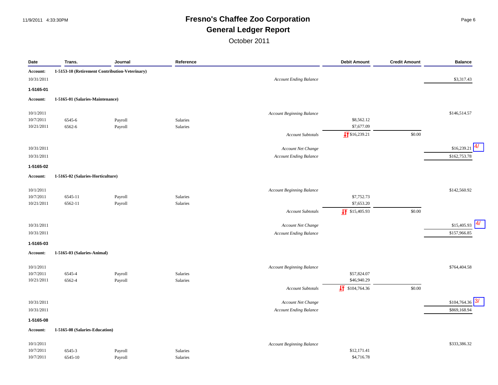## 11/9/2011 4:33:30PM **Fresno's Chaffee Zoo Corporation** Page 6 **General Ledger Report**

| Date                   | Trans.                            | Journal                                        | Reference |                                  | <b>Debit Amount</b>        | <b>Credit Amount</b> | <b>Balance</b>     |
|------------------------|-----------------------------------|------------------------------------------------|-----------|----------------------------------|----------------------------|----------------------|--------------------|
| Account:               |                                   | 1-5153-10 (Retirement Contribution-Veterinary) |           |                                  |                            |                      |                    |
| 10/31/2011             |                                   |                                                |           | <b>Account Ending Balance</b>    |                            |                      | \$3,317.43         |
| 1-5165-01              |                                   |                                                |           |                                  |                            |                      |                    |
| <b>Account:</b>        | 1-5165-01 (Salaries-Maintenance)  |                                                |           |                                  |                            |                      |                    |
|                        |                                   |                                                |           |                                  |                            |                      |                    |
| 10/1/2011<br>10/7/2011 | 6545-6                            | Payroll                                        | Salaries  | <b>Account Beginning Balance</b> | \$8,562.12                 |                      | \$146,514.57       |
| 10/21/2011             | 6562-6                            | Payroll                                        | Salaries  |                                  | \$7,677.09                 |                      |                    |
|                        |                                   |                                                |           | <b>Account Subtotals</b>         | $\sqrt{5816,239.21}$       | \$0.00               |                    |
|                        |                                   |                                                |           |                                  |                            |                      |                    |
| 10/31/2011             |                                   |                                                |           | Account Net Change               |                            |                      | 4/<br>\$16,239.21  |
| 10/31/2011             |                                   |                                                |           | <b>Account Ending Balance</b>    |                            |                      | \$162,753.78       |
| 1-5165-02              |                                   |                                                |           |                                  |                            |                      |                    |
| <b>Account:</b>        | 1-5165-02 (Salaries-Horticulture) |                                                |           |                                  |                            |                      |                    |
| 10/1/2011              |                                   |                                                |           | <b>Account Beginning Balance</b> |                            |                      | \$142,560.92       |
| 10/7/2011              | 6545-11                           | Payroll                                        | Salaries  |                                  | \$7,752.73                 |                      |                    |
| 10/21/2011             | 6562-11                           | Payroll                                        | Salaries  |                                  | \$7,653.20                 |                      |                    |
|                        |                                   |                                                |           | <b>Account Subtotals</b>         | $\frac{1}{2}$ \$15,405.93  | \$0.00               |                    |
| 10/31/2011             |                                   |                                                |           | Account Net Change               |                            |                      | 4/<br>\$15,405.93  |
|                        |                                   |                                                |           |                                  |                            |                      |                    |
| 10/31/2011             |                                   |                                                |           | Account Ending Balance           |                            |                      | \$157,966.85       |
| 1-5165-03              |                                   |                                                |           |                                  |                            |                      |                    |
| <b>Account:</b>        | 1-5165-03 (Salaries-Animal)       |                                                |           |                                  |                            |                      |                    |
| 10/1/2011              |                                   |                                                |           | <b>Account Beginning Balance</b> |                            |                      | \$764,404.58       |
| 10/7/2011              | 6545-4                            | Payroll                                        | Salaries  |                                  | \$57,824.07                |                      |                    |
| 10/21/2011             | 6562-4                            | Payroll                                        | Salaries  |                                  | \$46,940.29                |                      |                    |
|                        |                                   |                                                |           | <b>Account Subtotals</b>         | $\frac{1}{2}$ \$104,764.36 | \$0.00               |                    |
| 10/31/2011             |                                   |                                                |           | Account Net Change               |                            |                      | 3/<br>\$104,764.36 |
| 10/31/2011             |                                   |                                                |           | Account Ending Balance           |                            |                      | \$869,168.94       |
|                        |                                   |                                                |           |                                  |                            |                      |                    |
| 1-5165-08<br>Account:  | 1-5165-08 (Salaries-Education)    |                                                |           |                                  |                            |                      |                    |
|                        |                                   |                                                |           |                                  |                            |                      |                    |
| 10/1/2011              |                                   |                                                |           | <b>Account Beginning Balance</b> |                            |                      | \$333,386.32       |
| 10/7/2011              | 6545-3                            | Payroll                                        | Salaries  |                                  | \$12,171.41                |                      |                    |
| 10/7/2011              | 6545-10                           | Payroll                                        | Salaries  |                                  | \$4,716.78                 |                      |                    |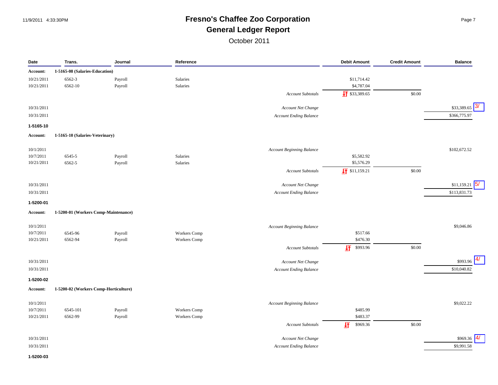#### 11/9/2011 4:33:30PM **Fresno's Chaffee Zoo Corporation** Page 7 **General Ledger Report**

October 2011

| Date       | Trans.                                | Journal | Reference           |                                  | <b>Debit Amount</b>       | <b>Credit Amount</b> | <b>Balance</b>    |
|------------|---------------------------------------|---------|---------------------|----------------------------------|---------------------------|----------------------|-------------------|
| Account:   | 1-5165-08 (Salaries-Education)        |         |                     |                                  |                           |                      |                   |
| 10/21/2011 | 6562-3                                | Payroll | Salaries            |                                  | \$11,714.42               |                      |                   |
| 10/21/2011 | 6562-10                               | Payroll | Salaries            |                                  | \$4,787.04                |                      |                   |
|            |                                       |         |                     | <b>Account Subtotals</b>         | $\sqrt{1}$ \$33,389.65    | \$0.00               |                   |
|            |                                       |         |                     |                                  |                           |                      |                   |
| 10/31/2011 |                                       |         |                     | Account Net Change               |                           |                      | 3/<br>\$33,389.65 |
| 10/31/2011 |                                       |         |                     | <b>Account Ending Balance</b>    |                           |                      | \$366,775.97      |
| 1-5165-10  |                                       |         |                     |                                  |                           |                      |                   |
| Account:   | 1-5165-10 (Salaries-Veterinary)       |         |                     |                                  |                           |                      |                   |
| 10/1/2011  |                                       |         |                     |                                  |                           |                      | \$102,672.52      |
| 10/7/2011  | 6545-5                                | Payroll | Salaries            | Account Beginning Balance        | \$5,582.92                |                      |                   |
| 10/21/2011 | 6562-5                                | Payroll | Salaries            |                                  | \$5,576.29                |                      |                   |
|            |                                       |         |                     | <b>Account Subtotals</b>         | $\frac{1}{2}$ \$11,159.21 | \$0.00               |                   |
|            |                                       |         |                     |                                  |                           |                      |                   |
| 10/31/2011 |                                       |         |                     | Account Net Change               |                           |                      | \$11,159.21       |
| 10/31/2011 |                                       |         |                     | <b>Account Ending Balance</b>    |                           |                      | \$113,831.73      |
| 1-5200-01  |                                       |         |                     |                                  |                           |                      |                   |
| Account:   | 1-5200-01 (Workers Comp-Maintenance)  |         |                     |                                  |                           |                      |                   |
| 10/1/2011  |                                       |         |                     | <b>Account Beginning Balance</b> |                           |                      | \$9,046.86        |
| 10/7/2011  | 6545-96                               | Payroll | Workers Comp        |                                  | \$517.66                  |                      |                   |
| 10/21/2011 | 6562-94                               | Payroll | <b>Workers</b> Comp |                                  | \$476.30                  |                      |                   |
|            |                                       |         |                     | <b>Account Subtotals</b>         | 圷<br>\$993.96             | \$0.00               |                   |
| 10/31/2011 |                                       |         |                     | Account Net Change               |                           |                      | \$993.96          |
| 10/31/2011 |                                       |         |                     | <b>Account Ending Balance</b>    |                           |                      | \$10,040.82       |
| 1-5200-02  |                                       |         |                     |                                  |                           |                      |                   |
| Account:   | 1-5200-02 (Workers Comp-Horticulture) |         |                     |                                  |                           |                      |                   |
|            |                                       |         |                     |                                  |                           |                      |                   |
| 10/1/2011  |                                       |         |                     | <b>Account Beginning Balance</b> |                           |                      | \$9,022.22        |
| 10/7/2011  | 6545-101                              | Payroll | Workers Comp        |                                  | \$485.99                  |                      |                   |
| 10/21/2011 | 6562-99                               | Payroll | Workers Comp        |                                  | \$483.37                  |                      |                   |
|            |                                       |         |                     | <b>Account Subtotals</b>         | 圩<br>\$969.36             | \$0.00               |                   |
| 10/31/2011 |                                       |         |                     | Account Net Change               |                           |                      | \$969.36          |
| 10/31/2011 |                                       |         |                     | <b>Account Ending Balance</b>    |                           |                      | \$9,991.58        |

**1-5200-03**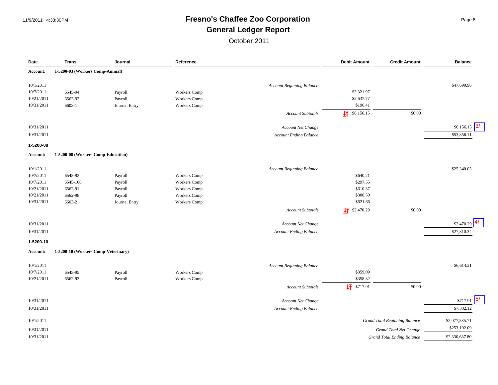## 11/9/2011 4:33:30PM **Fresno's Chaffee Zoo Corporation** Page 8 **General Ledger Report**

| Date            | Trans.                              | Journal       | Reference           |                                                     | <b>Debit Amount</b>    | <b>Credit Amount</b>                 | <b>Balance</b>   |
|-----------------|-------------------------------------|---------------|---------------------|-----------------------------------------------------|------------------------|--------------------------------------|------------------|
| <b>Account:</b> | 1-5200-03 (Workers Comp-Animal)     |               |                     |                                                     |                        |                                      |                  |
| 10/1/2011       |                                     |               |                     | <b>Account Beginning Balance</b>                    |                        |                                      | \$47,699.96      |
| 10/7/2011       | 6545-94                             | Payroll       | <b>Workers</b> Comp |                                                     | \$3,321.97             |                                      |                  |
| 10/21/2011      | 6562-92                             | Payroll       | Workers Comp        |                                                     | \$2,637.77             |                                      |                  |
| 10/31/2011      | 6603-1                              | Journal Entry | Workers Comp        |                                                     | \$196.41               |                                      |                  |
|                 |                                     |               |                     | <b>Account Subtotals</b>                            | $\sqrt{11}$ \$6,156.15 | \$0.00                               |                  |
|                 |                                     |               |                     |                                                     |                        |                                      |                  |
| 10/31/2011      |                                     |               |                     | Account Net Change                                  |                        |                                      | 3/<br>\$6,156.15 |
| 10/31/2011      |                                     |               |                     | <b>Account Ending Balance</b>                       |                        |                                      | \$53,856.11      |
| 1-5200-08       |                                     |               |                     |                                                     |                        |                                      |                  |
| <b>Account:</b> | 1-5200-08 (Workers Comp-Education)  |               |                     |                                                     |                        |                                      |                  |
| 10/1/2011       |                                     |               |                     | <b>Account Beginning Balance</b>                    |                        |                                      | \$25,340.05      |
| 10/7/2011       | 6545-93                             | Payroll       | Workers Comp        |                                                     | \$640.21               |                                      |                  |
| 10/7/2011       | 6545-100                            | Payroll       | Workers Comp        |                                                     | \$297.55               |                                      |                  |
| 10/21/2011      | 6562-91                             | Payroll       | Workers Comp        |                                                     | \$610.37               |                                      |                  |
| 10/21/2011      | 6562-98                             | Payroll       | Workers Comp        |                                                     | \$300.50               |                                      |                  |
| 10/31/2011      | 6603-2                              | Journal Entry | Workers Comp        |                                                     | \$621.66               |                                      |                  |
|                 |                                     |               |                     | <b>Account Subtotals</b>                            | $\sqrt{11}$ \$2,470.29 | \$0.00                               |                  |
| 10/31/2011      |                                     |               |                     |                                                     |                        |                                      | \$2,470.29       |
| 10/31/2011      |                                     |               |                     | Account Net Change<br><b>Account Ending Balance</b> |                        |                                      | \$27,810.34      |
|                 |                                     |               |                     |                                                     |                        |                                      |                  |
| 1-5200-10       |                                     |               |                     |                                                     |                        |                                      |                  |
| Account:        | 1-5200-10 (Workers Comp-Veterinary) |               |                     |                                                     |                        |                                      |                  |
| 10/1/2011       |                                     |               |                     | <b>Account Beginning Balance</b>                    |                        |                                      | \$6,614.21       |
| 10/7/2011       | 6545-95                             | Payroll       | Workers Comp        |                                                     | \$359.09               |                                      |                  |
| 10/21/2011      | 6562-93                             | Payroll       | Workers Comp        |                                                     | \$358.82               |                                      |                  |
|                 |                                     |               |                     | <b>Account Subtotals</b>                            | $\sqrt{17}$ \$717.91   | \$0.00                               |                  |
| 10/31/2011      |                                     |               |                     | Account Net Change                                  |                        |                                      | 5/<br>\$717.91   |
| 10/31/2011      |                                     |               |                     | <b>Account Ending Balance</b>                       |                        |                                      | \$7,332.12       |
| 10/1/2011       |                                     |               |                     |                                                     |                        | <b>Grand Total Beginning Balance</b> | \$2,077,585.71   |
| 10/31/2011      |                                     |               |                     |                                                     |                        | Grand Total Net Change               | \$253,102.09     |
| 10/31/2011      |                                     |               |                     |                                                     |                        | <b>Grand Total Ending Balance</b>    | \$2,330,687.80   |
|                 |                                     |               |                     |                                                     |                        |                                      |                  |